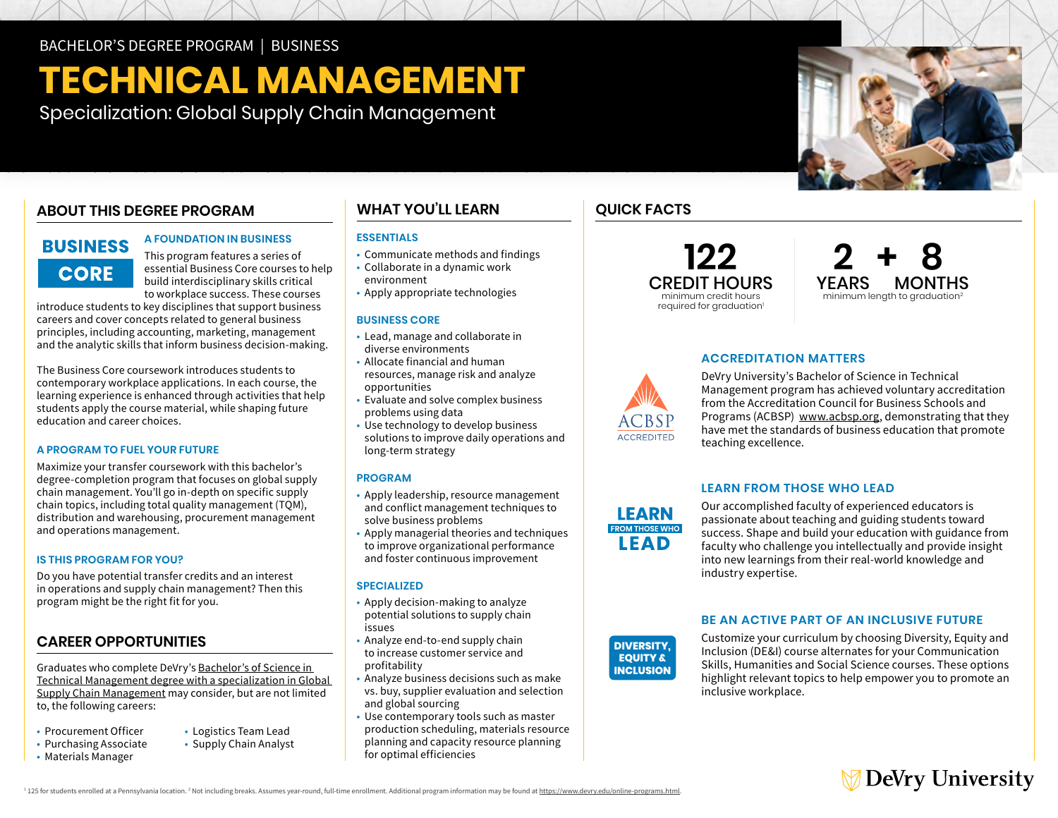# **TECHNICAL MANAGEMENT**

Specialization: Global Supply Chain Management

## **ABOUT THIS DEGREE PROGRAM**

# **BUSINESS CORE**

#### **A FOUNDATION IN BUSINESS**

This program features a series of essential Business Core courses to help build interdisciplinary skills critical to workplace success. These courses

introduce students to key disciplines that support business careers and cover concepts related to general business principles, including accounting, marketing, management and the analytic skills that inform business decision-making.

The Business Core coursework introduces students to contemporary workplace applications. In each course, the learning experience is enhanced through activities that help students apply the course material, while shaping future education and career choices.

#### **A PROGRAM TO FUEL YOUR FUTURE**

Maximize your transfer coursework with this bachelor's degree-completion program that focuses on global supply chain management. You'll go in-depth on specific supply chain topics, including total quality management (TQM), distribution and warehousing, procurement management and operations management.

#### **IS THIS PROGRAM FOR YOU?**

Do you have potential transfer credits and an interest in operations and supply chain management? Then this program might be the right fit for you.

### **CAREER OPPORTUNITIES**

Graduates who complete DeVry's [Bachelor's of Science in](https://www.devry.edu/online-programs/bachelors-degrees/business/global-supply-chain-management-specialization.html)  [Technical Management degree with a specialization in Global](https://www.devry.edu/online-programs/bachelors-degrees/business/global-supply-chain-management-specialization.html)  [Supply Chain Management](https://www.devry.edu/online-programs/bachelors-degrees/business/global-supply-chain-management-specialization.html) may consider, but are not limited to, the following careers:

- Procurement Officer
- Purchasing Associate
- Materials Manager
- Logistics Team Lead
- Supply Chain Analyst

**WHAT YOU'LL LEARN** 

#### **ESSENTIALS**

- Communicate methods and findings
- • Collaborate in a dynamic work environment
- Apply appropriate technologies

#### **BUSINESS CORE**

- • Lead, manage and collaborate in diverse environments
- • Allocate financial and human opportunities resources, manage risk and analyze
- opportunities Evaluate and solve complex business problems using data
- • Use technology to develop business solutions to improve daily operations and long-term strategy

#### **PROGRAM**

- • Apply leadership, resource management solve business problems and conflict management techniques to
- solve business problems Apply managerial theories and techniques to improve organizational performance and foster continuous improvement

#### **SPECIALIZED**

- • Apply decision-making to analyze potential solutions to supply chain issues
- • Analyze end-to-end supply chain to increase customer service and profitability
- • Analyze business decisions such as make vs. buy, supplier evaluation and selection and global sourcing
- • Use contemporary tools such as master production scheduling, materials resource planning and capacity resource planning for optimal efficiencies

## **QUICK FACTS**

**122**  CREDIT HOURS minimum credit hours required for graduation<sup>1</sup>

**2 + 8** YEARS MONTHS minimum length to graduation<sup>2</sup>

#### **ACCREDITATION MATTERS**

DeVry University's Bachelor of Science in Technical Management program has achieved voluntary accreditation from the Accreditation Council for Business Schools and Programs (ACBSP) [www.acbsp.org](http://www.acbsp.org), demonstrating that they have met the standards of business education that promote teaching excellence.

#### **LEARN FROM THOSE WHO LEAD**

**DIVERSITY,** industry expertise. Our accomplished faculty of experienced educators is passionate about teaching and guiding students toward success. Shape and build your education with guidance from faculty who challenge you intellectually and provide insight into new learnings from their real-world knowledge and

#### **BE AN ACTIVE PART OF AN INCLUSIVE FUTURE**

Customize your curriculum by choosing Diversity, Equity and Inclusion (DE&I) course alternates for your Communication Skills, Humanities and Social Science courses. These options highlight relevant topics to help empower you to promote an inclusive workplace.



<sup>1</sup> 125 for students enrolled at a Pennsylvania location. <sup>2</sup> Not including breaks. Assumes year-round, full-time enrollment. Additional program information may be found at <u>https://www.devry.edu/online-programs.html</u>.



**LEARN FROM THOSE WHO LEAD** 

**DIVERSITY, EQUITY & INCLUSION**